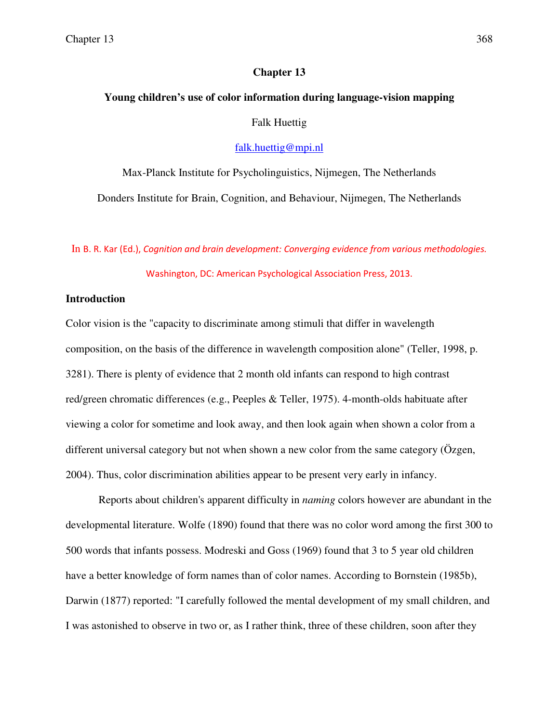## **Chapter 13**

# **Young children's use of color information during language-vision mapping**  Falk Huettig

falk.huettig@mpi.nl

Max-Planck Institute for Psycholinguistics, Nijmegen, The Netherlands Donders Institute for Brain, Cognition, and Behaviour, Nijmegen, The Netherlands

In B. R. Kar (Ed.), Cognition and brain development: Converging evidence from various methodologies.

Washington, DC: American Psychological Association Press, 2013.

## **Introduction**

Color vision is the "capacity to discriminate among stimuli that differ in wavelength composition, on the basis of the difference in wavelength composition alone" (Teller, 1998, p. 3281). There is plenty of evidence that 2 month old infants can respond to high contrast red/green chromatic differences (e.g., Peeples & Teller, 1975). 4-month-olds habituate after viewing a color for sometime and look away, and then look again when shown a color from a different universal category but not when shown a new color from the same category (Özgen, 2004). Thus, color discrimination abilities appear to be present very early in infancy.

Reports about children's apparent difficulty in *naming* colors however are abundant in the developmental literature. Wolfe (1890) found that there was no color word among the first 300 to 500 words that infants possess. Modreski and Goss (1969) found that 3 to 5 year old children have a better knowledge of form names than of color names. According to Bornstein (1985b), Darwin (1877) reported: "I carefully followed the mental development of my small children, and I was astonished to observe in two or, as I rather think, three of these children, soon after they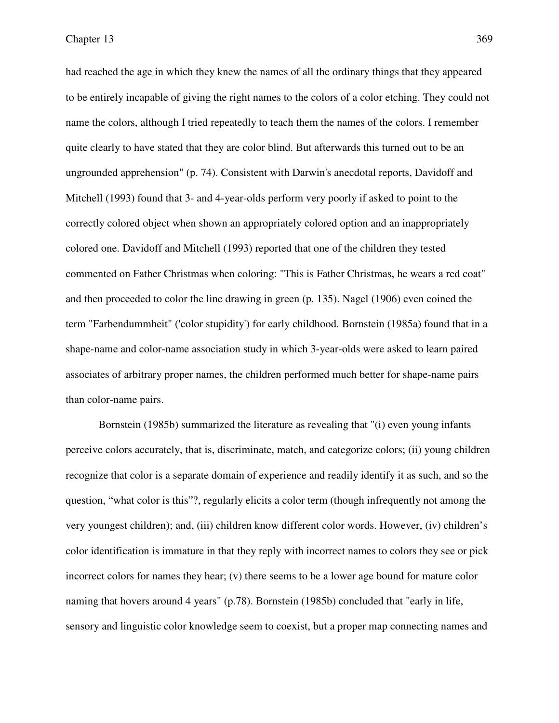had reached the age in which they knew the names of all the ordinary things that they appeared to be entirely incapable of giving the right names to the colors of a color etching. They could not name the colors, although I tried repeatedly to teach them the names of the colors. I remember quite clearly to have stated that they are color blind. But afterwards this turned out to be an ungrounded apprehension" (p. 74). Consistent with Darwin's anecdotal reports, Davidoff and Mitchell (1993) found that 3- and 4-year-olds perform very poorly if asked to point to the correctly colored object when shown an appropriately colored option and an inappropriately colored one. Davidoff and Mitchell (1993) reported that one of the children they tested commented on Father Christmas when coloring: "This is Father Christmas, he wears a red coat" and then proceeded to color the line drawing in green (p. 135). Nagel (1906) even coined the term "Farbendummheit" ('color stupidity') for early childhood. Bornstein (1985a) found that in a shape-name and color-name association study in which 3-year-olds were asked to learn paired associates of arbitrary proper names, the children performed much better for shape-name pairs than color-name pairs.

Bornstein (1985b) summarized the literature as revealing that "(i) even young infants perceive colors accurately, that is, discriminate, match, and categorize colors; (ii) young children recognize that color is a separate domain of experience and readily identify it as such, and so the question, "what color is this"?, regularly elicits a color term (though infrequently not among the very youngest children); and, (iii) children know different color words. However, (iv) children's color identification is immature in that they reply with incorrect names to colors they see or pick incorrect colors for names they hear; (v) there seems to be a lower age bound for mature color naming that hovers around 4 years" (p.78). Bornstein (1985b) concluded that "early in life, sensory and linguistic color knowledge seem to coexist, but a proper map connecting names and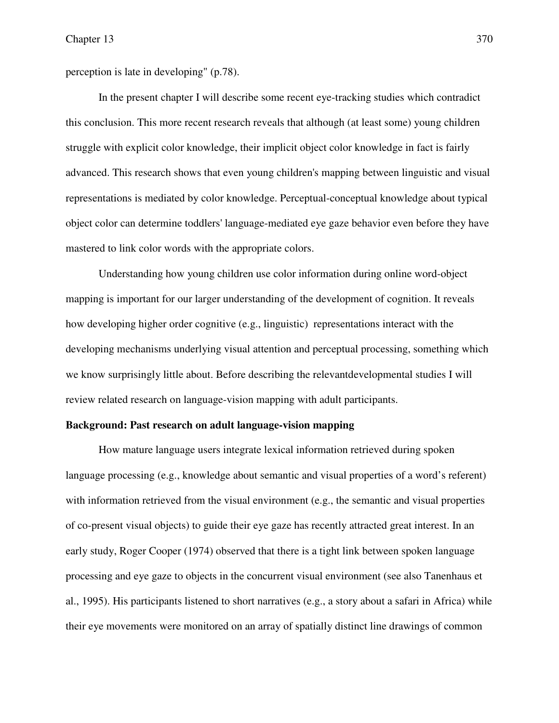perception is late in developing" (p.78).

In the present chapter I will describe some recent eye-tracking studies which contradict this conclusion. This more recent research reveals that although (at least some) young children struggle with explicit color knowledge, their implicit object color knowledge in fact is fairly advanced. This research shows that even young children's mapping between linguistic and visual representations is mediated by color knowledge. Perceptual-conceptual knowledge about typical object color can determine toddlers' language-mediated eye gaze behavior even before they have mastered to link color words with the appropriate colors.

Understanding how young children use color information during online word-object mapping is important for our larger understanding of the development of cognition. It reveals how developing higher order cognitive (e.g., linguistic) representations interact with the developing mechanisms underlying visual attention and perceptual processing, something which we know surprisingly little about. Before describing the relevantdevelopmental studies I will review related research on language-vision mapping with adult participants.

### **Background: Past research on adult language-vision mapping**

How mature language users integrate lexical information retrieved during spoken language processing (e.g., knowledge about semantic and visual properties of a word's referent) with information retrieved from the visual environment (e.g., the semantic and visual properties of co-present visual objects) to guide their eye gaze has recently attracted great interest. In an early study, Roger Cooper (1974) observed that there is a tight link between spoken language processing and eye gaze to objects in the concurrent visual environment (see also Tanenhaus et al., 1995). His participants listened to short narratives (e.g., a story about a safari in Africa) while their eye movements were monitored on an array of spatially distinct line drawings of common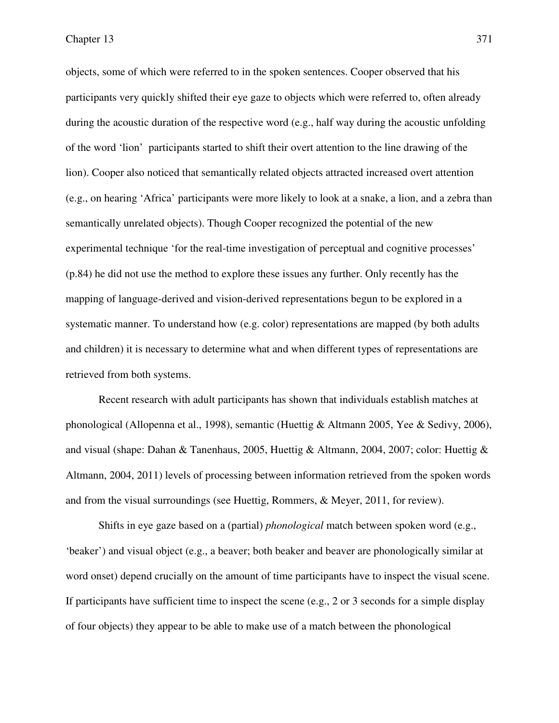objects, some of which were referred to in the spoken sentences. Cooper observed that his participants very quickly shifted their eye gaze to objects which were referred to, often already during the acoustic duration of the respective word (e.g., half way during the acoustic unfolding of the word 'lion' participants started to shift their overt attention to the line drawing of the lion). Cooper also noticed that semantically related objects attracted increased overt attention (e.g., on hearing 'Africa' participants were more likely to look at a snake, a lion, and a zebra than semantically unrelated objects). Though Cooper recognized the potential of the new experimental technique 'for the real-time investigation of perceptual and cognitive processes' (p.84) he did not use the method to explore these issues any further. Only recently has the mapping of language-derived and vision-derived representations begun to be explored in a systematic manner. To understand how (e.g. color) representations are mapped (by both adults and children) it is necessary to determine what and when different types of representations are retrieved from both systems.

Recent research with adult participants has shown that individuals establish matches at phonological (Allopenna et al., 1998), semantic (Huettig & Altmann 2005, Yee & Sedivy, 2006), and visual (shape: Dahan & Tanenhaus, 2005, Huettig & Altmann, 2004, 2007; color: Huettig & Altmann, 2004, 2011) levels of processing between information retrieved from the spoken words and from the visual surroundings (see Huettig, Rommers, & Meyer, 2011, for review).

Shifts in eye gaze based on a (partial) *phonological* match between spoken word (e.g., 'beaker') and visual object (e.g., a beaver; both beaker and beaver are phonologically similar at word onset) depend crucially on the amount of time participants have to inspect the visual scene. If participants have sufficient time to inspect the scene (e.g., 2 or 3 seconds for a simple display of four objects) they appear to be able to make use of a match between the phonological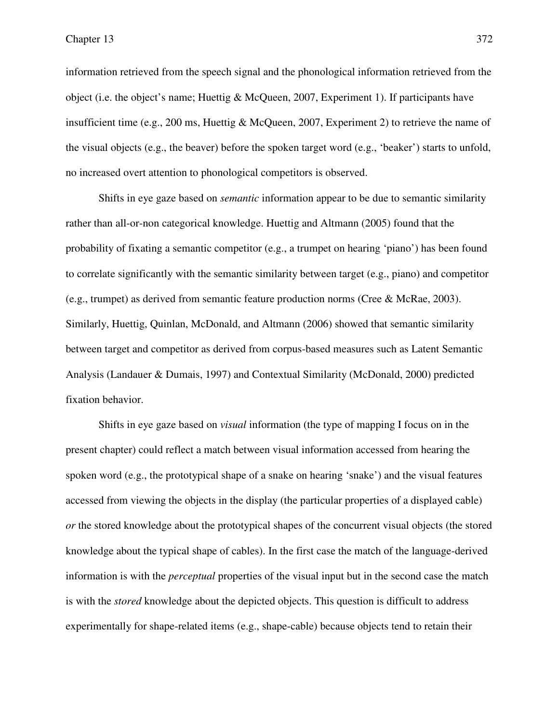information retrieved from the speech signal and the phonological information retrieved from the object (i.e. the object's name; Huettig & McQueen, 2007, Experiment 1). If participants have insufficient time (e.g., 200 ms, Huettig & McQueen, 2007, Experiment 2) to retrieve the name of the visual objects (e.g., the beaver) before the spoken target word (e.g., 'beaker') starts to unfold, no increased overt attention to phonological competitors is observed.

Shifts in eye gaze based on *semantic* information appear to be due to semantic similarity rather than all-or-non categorical knowledge. Huettig and Altmann (2005) found that the probability of fixating a semantic competitor (e.g., a trumpet on hearing 'piano') has been found to correlate significantly with the semantic similarity between target (e.g., piano) and competitor (e.g., trumpet) as derived from semantic feature production norms (Cree & McRae, 2003). Similarly, Huettig, Quinlan, McDonald, and Altmann (2006) showed that semantic similarity between target and competitor as derived from corpus-based measures such as Latent Semantic Analysis (Landauer & Dumais, 1997) and Contextual Similarity (McDonald, 2000) predicted fixation behavior.

Shifts in eye gaze based on *visual* information (the type of mapping I focus on in the present chapter) could reflect a match between visual information accessed from hearing the spoken word (e.g., the prototypical shape of a snake on hearing 'snake') and the visual features accessed from viewing the objects in the display (the particular properties of a displayed cable) *or* the stored knowledge about the prototypical shapes of the concurrent visual objects (the stored knowledge about the typical shape of cables). In the first case the match of the language-derived information is with the *perceptual* properties of the visual input but in the second case the match is with the *stored* knowledge about the depicted objects. This question is difficult to address experimentally for shape-related items (e.g., shape-cable) because objects tend to retain their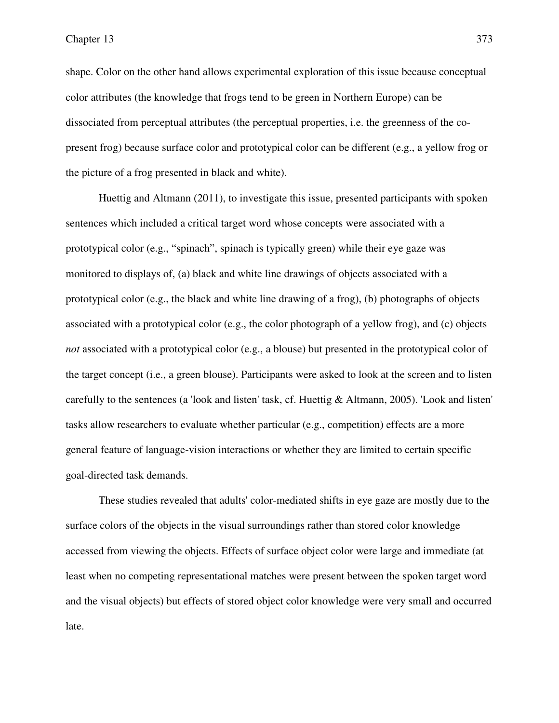shape. Color on the other hand allows experimental exploration of this issue because conceptual color attributes (the knowledge that frogs tend to be green in Northern Europe) can be dissociated from perceptual attributes (the perceptual properties, i.e. the greenness of the copresent frog) because surface color and prototypical color can be different (e.g., a yellow frog or the picture of a frog presented in black and white).

Huettig and Altmann (2011), to investigate this issue, presented participants with spoken sentences which included a critical target word whose concepts were associated with a prototypical color (e.g., "spinach", spinach is typically green) while their eye gaze was monitored to displays of, (a) black and white line drawings of objects associated with a prototypical color (e.g., the black and white line drawing of a frog), (b) photographs of objects associated with a prototypical color (e.g., the color photograph of a yellow frog), and (c) objects *not* associated with a prototypical color (e.g., a blouse) but presented in the prototypical color of the target concept (i.e., a green blouse). Participants were asked to look at the screen and to listen carefully to the sentences (a 'look and listen' task, cf. Huettig & Altmann, 2005). 'Look and listen' tasks allow researchers to evaluate whether particular (e.g., competition) effects are a more general feature of language-vision interactions or whether they are limited to certain specific goal-directed task demands.

These studies revealed that adults' color-mediated shifts in eye gaze are mostly due to the surface colors of the objects in the visual surroundings rather than stored color knowledge accessed from viewing the objects. Effects of surface object color were large and immediate (at least when no competing representational matches were present between the spoken target word and the visual objects) but effects of stored object color knowledge were very small and occurred late.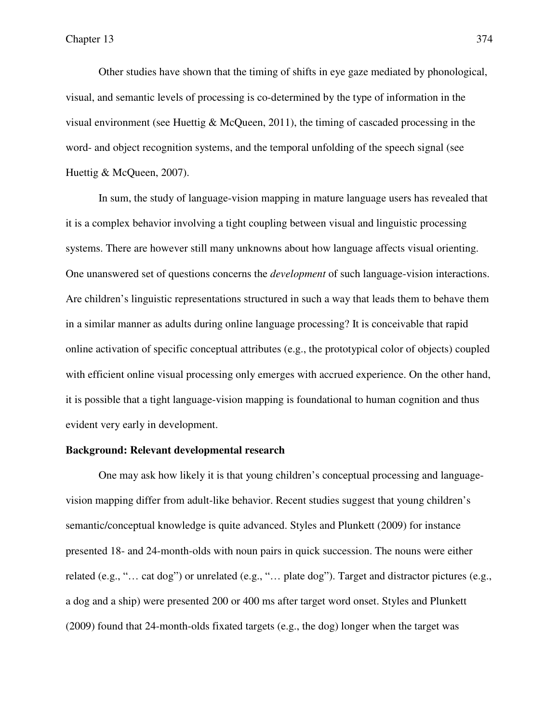Other studies have shown that the timing of shifts in eye gaze mediated by phonological, visual, and semantic levels of processing is co-determined by the type of information in the visual environment (see Huettig  $&$  McQueen, 2011), the timing of cascaded processing in the word- and object recognition systems, and the temporal unfolding of the speech signal (see Huettig & McQueen, 2007).

In sum, the study of language-vision mapping in mature language users has revealed that it is a complex behavior involving a tight coupling between visual and linguistic processing systems. There are however still many unknowns about how language affects visual orienting. One unanswered set of questions concerns the *development* of such language-vision interactions. Are children's linguistic representations structured in such a way that leads them to behave them in a similar manner as adults during online language processing? It is conceivable that rapid online activation of specific conceptual attributes (e.g., the prototypical color of objects) coupled with efficient online visual processing only emerges with accrued experience. On the other hand, it is possible that a tight language-vision mapping is foundational to human cognition and thus evident very early in development.

## **Background: Relevant developmental research**

One may ask how likely it is that young children's conceptual processing and languagevision mapping differ from adult-like behavior. Recent studies suggest that young children's semantic/conceptual knowledge is quite advanced. Styles and Plunkett (2009) for instance presented 18- and 24-month-olds with noun pairs in quick succession. The nouns were either related (e.g., "… cat dog") or unrelated (e.g., "… plate dog"). Target and distractor pictures (e.g., a dog and a ship) were presented 200 or 400 ms after target word onset. Styles and Plunkett (2009) found that 24-month-olds fixated targets (e.g., the dog) longer when the target was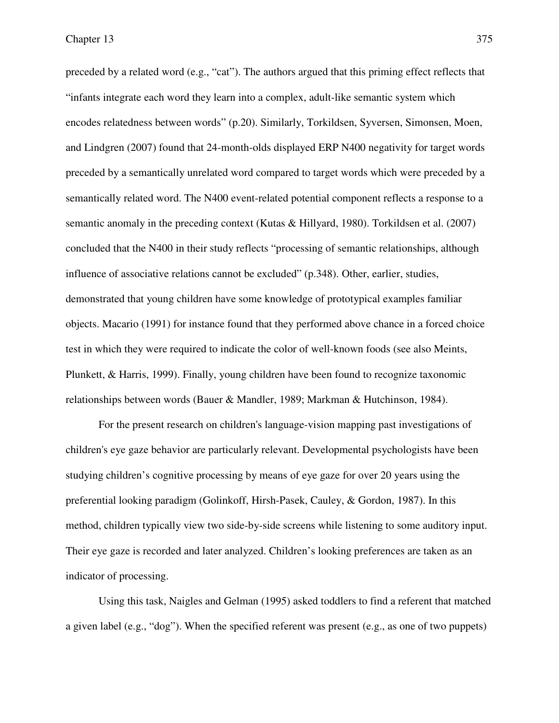preceded by a related word (e.g., "cat"). The authors argued that this priming effect reflects that "infants integrate each word they learn into a complex, adult-like semantic system which encodes relatedness between words" (p.20). Similarly, Torkildsen, Syversen, Simonsen, Moen, and Lindgren (2007) found that 24-month-olds displayed ERP N400 negativity for target words preceded by a semantically unrelated word compared to target words which were preceded by a semantically related word. The N400 event-related potential component reflects a response to a semantic anomaly in the preceding context (Kutas & Hillyard, 1980). Torkildsen et al. (2007) concluded that the N400 in their study reflects "processing of semantic relationships, although influence of associative relations cannot be excluded" (p.348). Other, earlier, studies, demonstrated that young children have some knowledge of prototypical examples familiar objects. Macario (1991) for instance found that they performed above chance in a forced choice test in which they were required to indicate the color of well-known foods (see also Meints, Plunkett, & Harris, 1999). Finally, young children have been found to recognize taxonomic relationships between words (Bauer & Mandler, 1989; Markman & Hutchinson, 1984).

For the present research on children's language-vision mapping past investigations of children's eye gaze behavior are particularly relevant. Developmental psychologists have been studying children's cognitive processing by means of eye gaze for over 20 years using the preferential looking paradigm (Golinkoff, Hirsh-Pasek, Cauley, & Gordon, 1987). In this method, children typically view two side-by-side screens while listening to some auditory input. Their eye gaze is recorded and later analyzed. Children's looking preferences are taken as an indicator of processing.

Using this task, Naigles and Gelman (1995) asked toddlers to find a referent that matched a given label (e.g., "dog"). When the specified referent was present (e.g., as one of two puppets)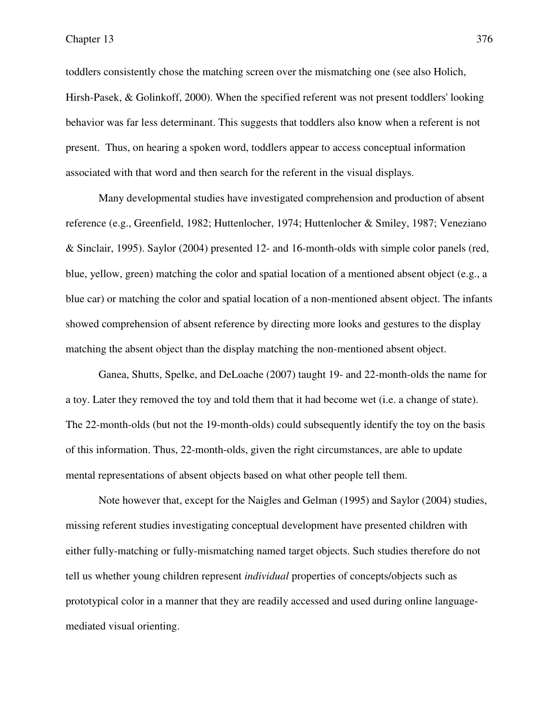toddlers consistently chose the matching screen over the mismatching one (see also Holich, Hirsh-Pasek, & Golinkoff, 2000). When the specified referent was not present toddlers' looking behavior was far less determinant. This suggests that toddlers also know when a referent is not present. Thus, on hearing a spoken word, toddlers appear to access conceptual information associated with that word and then search for the referent in the visual displays.

Many developmental studies have investigated comprehension and production of absent reference (e.g., Greenfield, 1982; Huttenlocher, 1974; Huttenlocher & Smiley, 1987; Veneziano & Sinclair, 1995). Saylor (2004) presented 12- and 16-month-olds with simple color panels (red, blue, yellow, green) matching the color and spatial location of a mentioned absent object (e.g., a blue car) or matching the color and spatial location of a non-mentioned absent object. The infants showed comprehension of absent reference by directing more looks and gestures to the display matching the absent object than the display matching the non-mentioned absent object.

Ganea, Shutts, Spelke, and DeLoache (2007) taught 19- and 22-month-olds the name for a toy. Later they removed the toy and told them that it had become wet (i.e. a change of state). The 22-month-olds (but not the 19-month-olds) could subsequently identify the toy on the basis of this information. Thus, 22-month-olds, given the right circumstances, are able to update mental representations of absent objects based on what other people tell them.

Note however that, except for the Naigles and Gelman (1995) and Saylor (2004) studies, missing referent studies investigating conceptual development have presented children with either fully-matching or fully-mismatching named target objects. Such studies therefore do not tell us whether young children represent *individual* properties of concepts/objects such as prototypical color in a manner that they are readily accessed and used during online languagemediated visual orienting.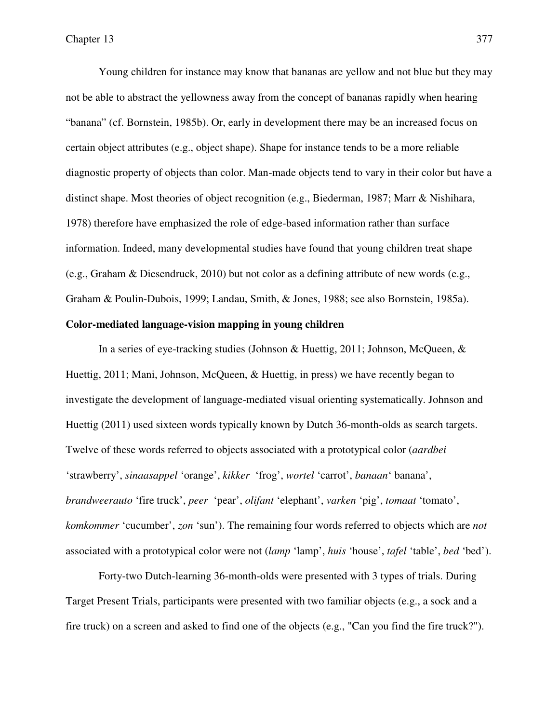Young children for instance may know that bananas are yellow and not blue but they may not be able to abstract the yellowness away from the concept of bananas rapidly when hearing "banana" (cf. Bornstein, 1985b). Or, early in development there may be an increased focus on certain object attributes (e.g., object shape). Shape for instance tends to be a more reliable diagnostic property of objects than color. Man-made objects tend to vary in their color but have a distinct shape. Most theories of object recognition (e.g., Biederman, 1987; Marr & Nishihara, 1978) therefore have emphasized the role of edge-based information rather than surface information. Indeed, many developmental studies have found that young children treat shape (e.g., Graham & Diesendruck, 2010) but not color as a defining attribute of new words (e.g., Graham & Poulin-Dubois, 1999; Landau, Smith, & Jones, 1988; see also Bornstein, 1985a).

# **Color-mediated language-vision mapping in young children**

In a series of eye-tracking studies (Johnson & Huettig, 2011; Johnson, McQueen, & Huettig, 2011; Mani, Johnson, McQueen, & Huettig, in press) we have recently began to investigate the development of language-mediated visual orienting systematically. Johnson and Huettig (2011) used sixteen words typically known by Dutch 36-month-olds as search targets. Twelve of these words referred to objects associated with a prototypical color (*aardbei*  'strawberry', *sinaasappel* 'orange', *kikker* 'frog', *wortel* 'carrot', *banaan*' banana', *brandweerauto* 'fire truck', *peer* 'pear', *olifant* 'elephant', *varken* 'pig', *tomaat* 'tomato', *komkommer* 'cucumber', *zon* 'sun'). The remaining four words referred to objects which are *not* associated with a prototypical color were not (*lamp* 'lamp', *huis* 'house', *tafel* 'table', *bed* 'bed').

Forty-two Dutch-learning 36-month-olds were presented with 3 types of trials. During Target Present Trials, participants were presented with two familiar objects (e.g., a sock and a fire truck) on a screen and asked to find one of the objects (e.g., "Can you find the fire truck?").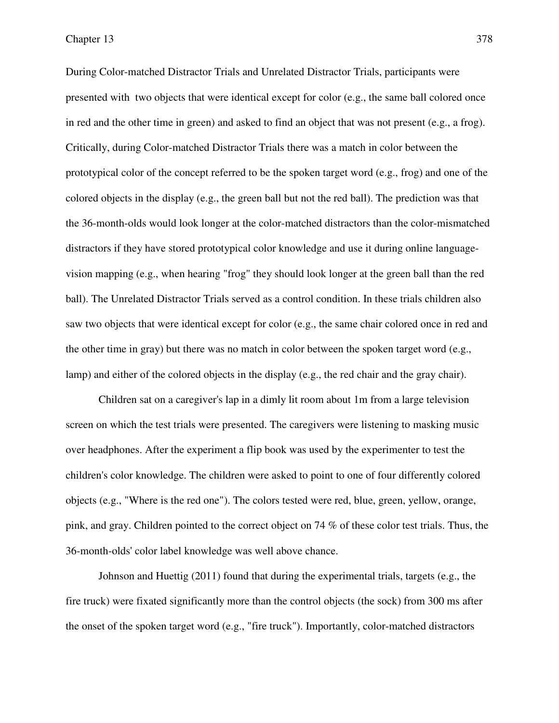During Color-matched Distractor Trials and Unrelated Distractor Trials, participants were presented with two objects that were identical except for color (e.g., the same ball colored once in red and the other time in green) and asked to find an object that was not present (e.g., a frog). Critically, during Color-matched Distractor Trials there was a match in color between the prototypical color of the concept referred to be the spoken target word (e.g., frog) and one of the colored objects in the display (e.g., the green ball but not the red ball). The prediction was that the 36-month-olds would look longer at the color-matched distractors than the color-mismatched distractors if they have stored prototypical color knowledge and use it during online languagevision mapping (e.g., when hearing "frog" they should look longer at the green ball than the red ball). The Unrelated Distractor Trials served as a control condition. In these trials children also saw two objects that were identical except for color (e.g., the same chair colored once in red and the other time in gray) but there was no match in color between the spoken target word (e.g., lamp) and either of the colored objects in the display (e.g., the red chair and the gray chair).

Children sat on a caregiver's lap in a dimly lit room about 1m from a large television screen on which the test trials were presented. The caregivers were listening to masking music over headphones. After the experiment a flip book was used by the experimenter to test the children's color knowledge. The children were asked to point to one of four differently colored objects (e.g., "Where is the red one"). The colors tested were red, blue, green, yellow, orange, pink, and gray. Children pointed to the correct object on 74 % of these color test trials. Thus, the 36-month-olds' color label knowledge was well above chance.

Johnson and Huettig (2011) found that during the experimental trials, targets (e.g., the fire truck) were fixated significantly more than the control objects (the sock) from 300 ms after the onset of the spoken target word (e.g., "fire truck"). Importantly, color-matched distractors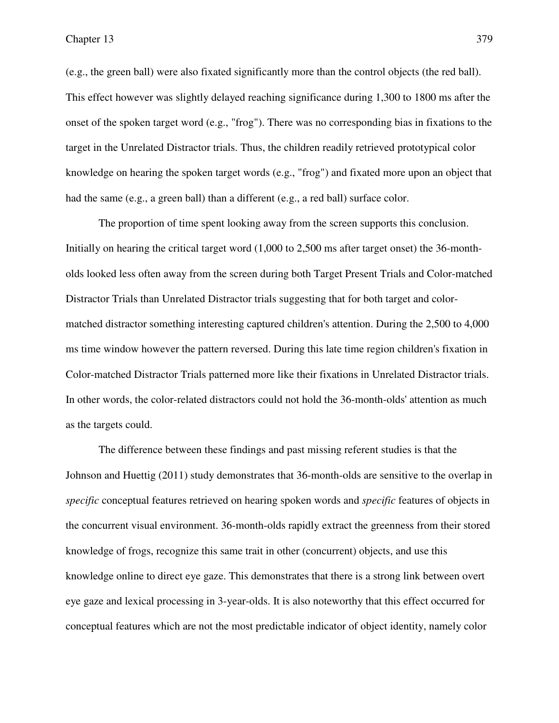(e.g., the green ball) were also fixated significantly more than the control objects (the red ball). This effect however was slightly delayed reaching significance during 1,300 to 1800 ms after the onset of the spoken target word (e.g., "frog"). There was no corresponding bias in fixations to the target in the Unrelated Distractor trials. Thus, the children readily retrieved prototypical color knowledge on hearing the spoken target words (e.g., "frog") and fixated more upon an object that had the same (e.g., a green ball) than a different (e.g., a red ball) surface color.

The proportion of time spent looking away from the screen supports this conclusion. Initially on hearing the critical target word (1,000 to 2,500 ms after target onset) the 36-montholds looked less often away from the screen during both Target Present Trials and Color-matched Distractor Trials than Unrelated Distractor trials suggesting that for both target and colormatched distractor something interesting captured children's attention. During the 2,500 to 4,000 ms time window however the pattern reversed. During this late time region children's fixation in Color-matched Distractor Trials patterned more like their fixations in Unrelated Distractor trials. In other words, the color-related distractors could not hold the 36-month-olds' attention as much as the targets could.

The difference between these findings and past missing referent studies is that the Johnson and Huettig (2011) study demonstrates that 36-month-olds are sensitive to the overlap in *specific* conceptual features retrieved on hearing spoken words and *specific* features of objects in the concurrent visual environment. 36-month-olds rapidly extract the greenness from their stored knowledge of frogs, recognize this same trait in other (concurrent) objects, and use this knowledge online to direct eye gaze. This demonstrates that there is a strong link between overt eye gaze and lexical processing in 3-year-olds. It is also noteworthy that this effect occurred for conceptual features which are not the most predictable indicator of object identity, namely color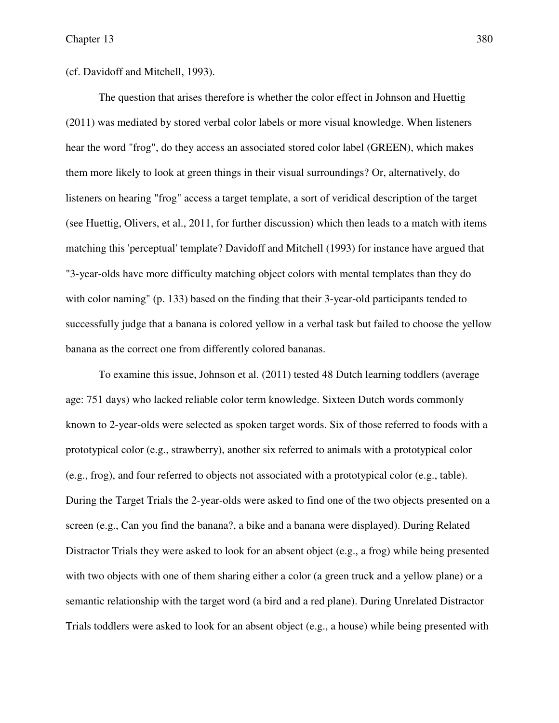(cf. Davidoff and Mitchell, 1993).

The question that arises therefore is whether the color effect in Johnson and Huettig (2011) was mediated by stored verbal color labels or more visual knowledge. When listeners hear the word "frog", do they access an associated stored color label (GREEN), which makes them more likely to look at green things in their visual surroundings? Or, alternatively, do listeners on hearing "frog" access a target template, a sort of veridical description of the target (see Huettig, Olivers, et al., 2011, for further discussion) which then leads to a match with items matching this 'perceptual' template? Davidoff and Mitchell (1993) for instance have argued that "3-year-olds have more difficulty matching object colors with mental templates than they do with color naming" (p. 133) based on the finding that their 3-year-old participants tended to successfully judge that a banana is colored yellow in a verbal task but failed to choose the yellow banana as the correct one from differently colored bananas.

To examine this issue, Johnson et al. (2011) tested 48 Dutch learning toddlers (average age: 751 days) who lacked reliable color term knowledge. Sixteen Dutch words commonly known to 2-year-olds were selected as spoken target words. Six of those referred to foods with a prototypical color (e.g., strawberry), another six referred to animals with a prototypical color (e.g., frog), and four referred to objects not associated with a prototypical color (e.g., table). During the Target Trials the 2-year-olds were asked to find one of the two objects presented on a screen (e.g., Can you find the banana?, a bike and a banana were displayed). During Related Distractor Trials they were asked to look for an absent object (e.g., a frog) while being presented with two objects with one of them sharing either a color (a green truck and a yellow plane) or a semantic relationship with the target word (a bird and a red plane). During Unrelated Distractor Trials toddlers were asked to look for an absent object (e.g., a house) while being presented with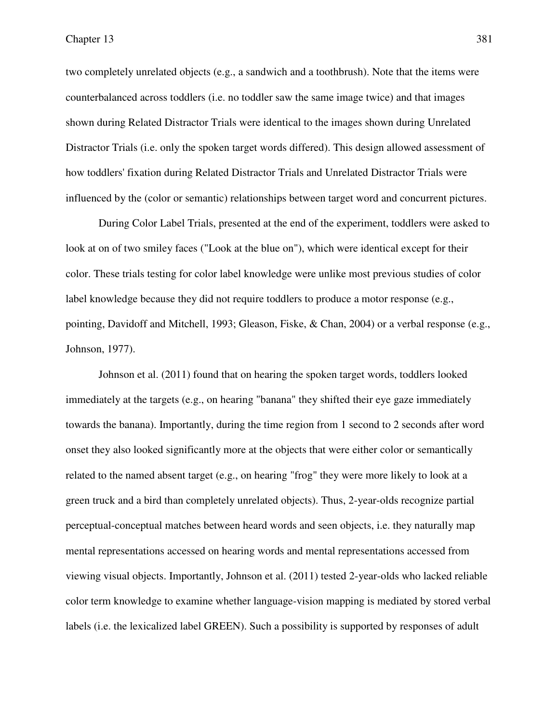two completely unrelated objects (e.g., a sandwich and a toothbrush). Note that the items were counterbalanced across toddlers (i.e. no toddler saw the same image twice) and that images shown during Related Distractor Trials were identical to the images shown during Unrelated Distractor Trials (i.e. only the spoken target words differed). This design allowed assessment of how toddlers' fixation during Related Distractor Trials and Unrelated Distractor Trials were influenced by the (color or semantic) relationships between target word and concurrent pictures.

During Color Label Trials, presented at the end of the experiment, toddlers were asked to look at on of two smiley faces ("Look at the blue on"), which were identical except for their color. These trials testing for color label knowledge were unlike most previous studies of color label knowledge because they did not require toddlers to produce a motor response (e.g., pointing, Davidoff and Mitchell, 1993; Gleason, Fiske, & Chan, 2004) or a verbal response (e.g., Johnson, 1977).

Johnson et al. (2011) found that on hearing the spoken target words, toddlers looked immediately at the targets (e.g., on hearing "banana" they shifted their eye gaze immediately towards the banana). Importantly, during the time region from 1 second to 2 seconds after word onset they also looked significantly more at the objects that were either color or semantically related to the named absent target (e.g., on hearing "frog" they were more likely to look at a green truck and a bird than completely unrelated objects). Thus, 2-year-olds recognize partial perceptual-conceptual matches between heard words and seen objects, i.e. they naturally map mental representations accessed on hearing words and mental representations accessed from viewing visual objects. Importantly, Johnson et al. (2011) tested 2-year-olds who lacked reliable color term knowledge to examine whether language-vision mapping is mediated by stored verbal labels (i.e. the lexicalized label GREEN). Such a possibility is supported by responses of adult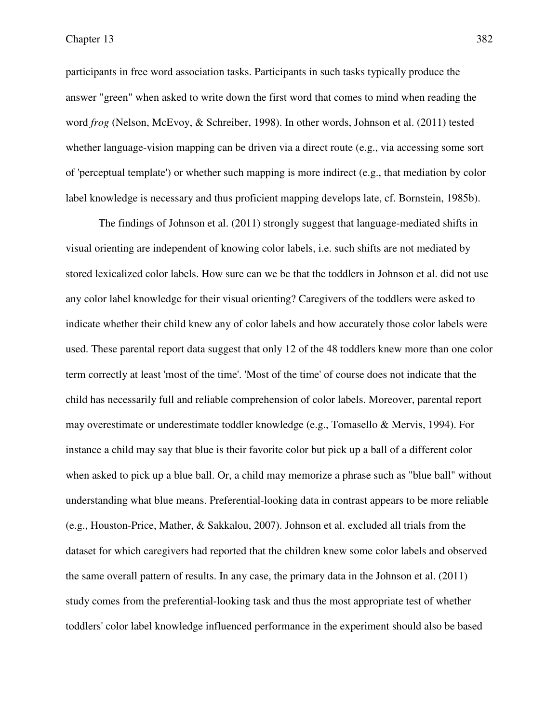participants in free word association tasks. Participants in such tasks typically produce the answer "green" when asked to write down the first word that comes to mind when reading the word *frog* (Nelson, McEvoy, & Schreiber, 1998). In other words, Johnson et al. (2011) tested whether language-vision mapping can be driven via a direct route (e.g., via accessing some sort of 'perceptual template') or whether such mapping is more indirect (e.g., that mediation by color label knowledge is necessary and thus proficient mapping develops late, cf. Bornstein, 1985b).

The findings of Johnson et al. (2011) strongly suggest that language-mediated shifts in visual orienting are independent of knowing color labels, i.e. such shifts are not mediated by stored lexicalized color labels. How sure can we be that the toddlers in Johnson et al. did not use any color label knowledge for their visual orienting? Caregivers of the toddlers were asked to indicate whether their child knew any of color labels and how accurately those color labels were used. These parental report data suggest that only 12 of the 48 toddlers knew more than one color term correctly at least 'most of the time'. 'Most of the time' of course does not indicate that the child has necessarily full and reliable comprehension of color labels. Moreover, parental report may overestimate or underestimate toddler knowledge (e.g., Tomasello & Mervis, 1994). For instance a child may say that blue is their favorite color but pick up a ball of a different color when asked to pick up a blue ball. Or, a child may memorize a phrase such as "blue ball" without understanding what blue means. Preferential-looking data in contrast appears to be more reliable (e.g., Houston-Price, Mather, & Sakkalou, 2007). Johnson et al. excluded all trials from the dataset for which caregivers had reported that the children knew some color labels and observed the same overall pattern of results. In any case, the primary data in the Johnson et al. (2011) study comes from the preferential-looking task and thus the most appropriate test of whether toddlers' color label knowledge influenced performance in the experiment should also be based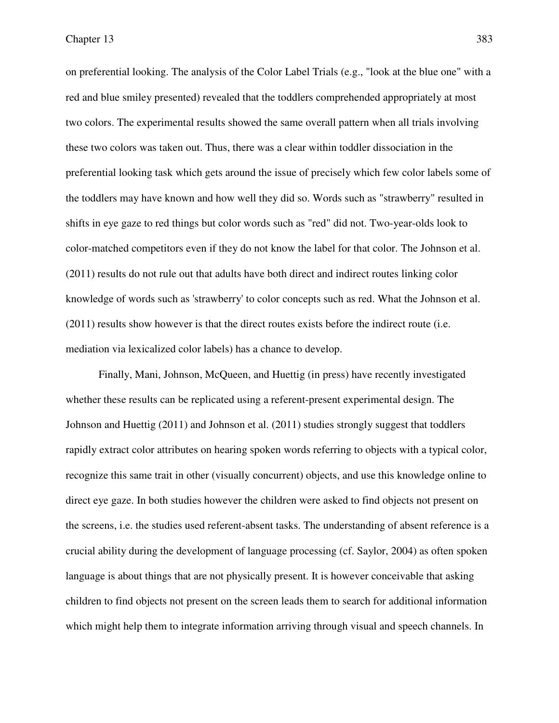on preferential looking. The analysis of the Color Label Trials (e.g., "look at the blue one" with a red and blue smiley presented) revealed that the toddlers comprehended appropriately at most two colors. The experimental results showed the same overall pattern when all trials involving these two colors was taken out. Thus, there was a clear within toddler dissociation in the preferential looking task which gets around the issue of precisely which few color labels some of the toddlers may have known and how well they did so. Words such as "strawberry" resulted in shifts in eye gaze to red things but color words such as "red" did not. Two-year-olds look to color-matched competitors even if they do not know the label for that color. The Johnson et al. (2011) results do not rule out that adults have both direct and indirect routes linking color knowledge of words such as 'strawberry' to color concepts such as red. What the Johnson et al. (2011) results show however is that the direct routes exists before the indirect route (i.e. mediation via lexicalized color labels) has a chance to develop.

Finally, Mani, Johnson, McQueen, and Huettig (in press) have recently investigated whether these results can be replicated using a referent-present experimental design. The Johnson and Huettig (2011) and Johnson et al. (2011) studies strongly suggest that toddlers rapidly extract color attributes on hearing spoken words referring to objects with a typical color, recognize this same trait in other (visually concurrent) objects, and use this knowledge online to direct eye gaze. In both studies however the children were asked to find objects not present on the screens, i.e. the studies used referent-absent tasks. The understanding of absent reference is a crucial ability during the development of language processing (cf. Saylor, 2004) as often spoken language is about things that are not physically present. It is however conceivable that asking children to find objects not present on the screen leads them to search for additional information which might help them to integrate information arriving through visual and speech channels. In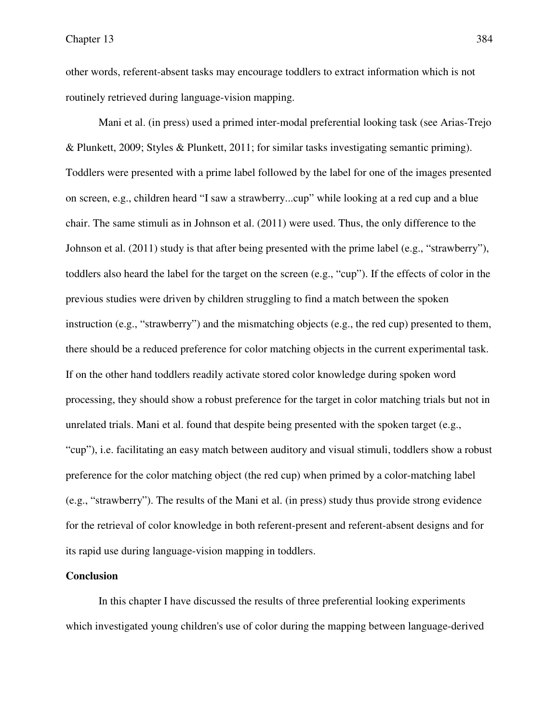other words, referent-absent tasks may encourage toddlers to extract information which is not routinely retrieved during language-vision mapping.

Mani et al. (in press) used a primed inter-modal preferential looking task (see Arias-Trejo & Plunkett, 2009; Styles & Plunkett, 2011; for similar tasks investigating semantic priming). Toddlers were presented with a prime label followed by the label for one of the images presented on screen, e.g., children heard "I saw a strawberry...cup" while looking at a red cup and a blue chair. The same stimuli as in Johnson et al. (2011) were used. Thus, the only difference to the Johnson et al. (2011) study is that after being presented with the prime label (e.g., "strawberry"), toddlers also heard the label for the target on the screen (e.g., "cup"). If the effects of color in the previous studies were driven by children struggling to find a match between the spoken instruction (e.g., "strawberry") and the mismatching objects (e.g., the red cup) presented to them, there should be a reduced preference for color matching objects in the current experimental task. If on the other hand toddlers readily activate stored color knowledge during spoken word processing, they should show a robust preference for the target in color matching trials but not in unrelated trials. Mani et al. found that despite being presented with the spoken target (e.g., "cup"), i.e. facilitating an easy match between auditory and visual stimuli, toddlers show a robust preference for the color matching object (the red cup) when primed by a color-matching label (e.g., "strawberry"). The results of the Mani et al. (in press) study thus provide strong evidence for the retrieval of color knowledge in both referent-present and referent-absent designs and for its rapid use during language-vision mapping in toddlers.

## **Conclusion**

In this chapter I have discussed the results of three preferential looking experiments which investigated young children's use of color during the mapping between language-derived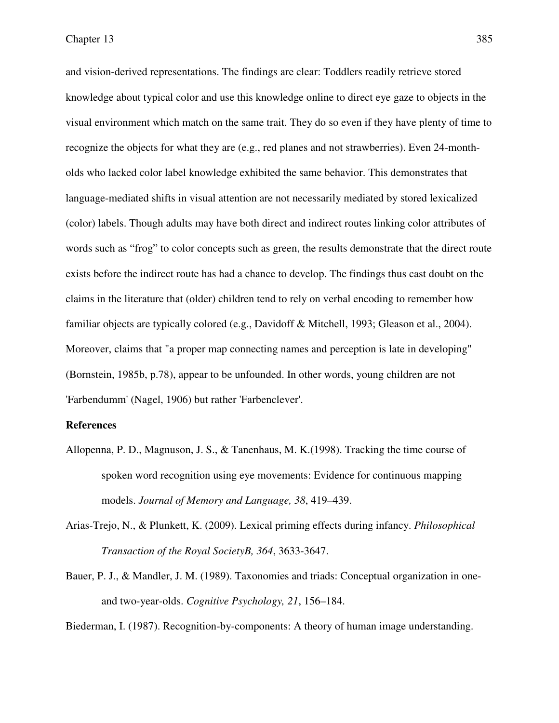and vision-derived representations. The findings are clear: Toddlers readily retrieve stored knowledge about typical color and use this knowledge online to direct eye gaze to objects in the visual environment which match on the same trait. They do so even if they have plenty of time to recognize the objects for what they are (e.g., red planes and not strawberries). Even 24-montholds who lacked color label knowledge exhibited the same behavior. This demonstrates that language-mediated shifts in visual attention are not necessarily mediated by stored lexicalized (color) labels. Though adults may have both direct and indirect routes linking color attributes of words such as "frog" to color concepts such as green, the results demonstrate that the direct route exists before the indirect route has had a chance to develop. The findings thus cast doubt on the claims in the literature that (older) children tend to rely on verbal encoding to remember how familiar objects are typically colored (e.g., Davidoff & Mitchell, 1993; Gleason et al., 2004). Moreover, claims that "a proper map connecting names and perception is late in developing" (Bornstein, 1985b, p.78), appear to be unfounded. In other words, young children are not 'Farbendumm' (Nagel, 1906) but rather 'Farbenclever'.

### **References**

- Allopenna, P. D., Magnuson, J. S., & Tanenhaus, M. K.(1998). Tracking the time course of spoken word recognition using eye movements: Evidence for continuous mapping models. *Journal of Memory and Language, 38*, 419–439.
- Arias-Trejo, N., & Plunkett, K. (2009). Lexical priming effects during infancy. *Philosophical Transaction of the Royal SocietyB, 364*, 3633-3647.
- Bauer, P. J., & Mandler, J. M. (1989). Taxonomies and triads: Conceptual organization in oneand two-year-olds. *Cognitive Psychology, 21*, 156–184.

Biederman, I. (1987). Recognition-by-components: A theory of human image understanding.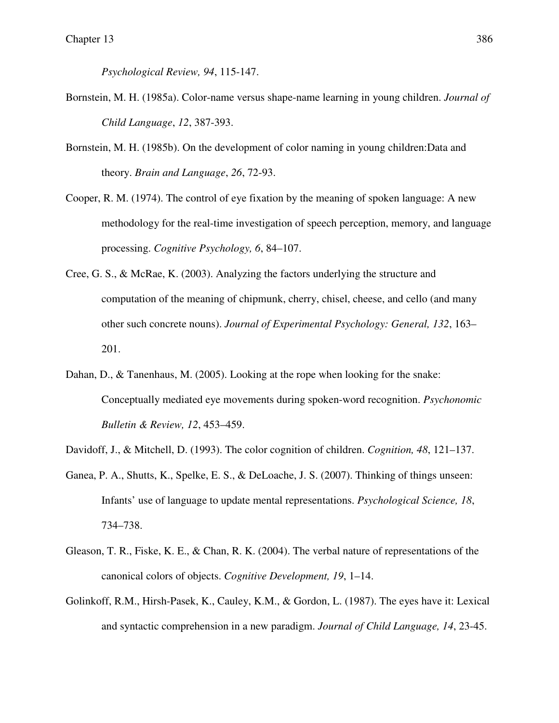*Psychological Review, 94*, 115-147.

- Bornstein, M. H. (1985a). Color-name versus shape-name learning in young children. *Journal of Child Language*, *12*, 387-393.
- Bornstein, M. H. (1985b). On the development of color naming in young children:Data and theory. *Brain and Language*, *26*, 72-93.
- Cooper, R. M. (1974). The control of eye fixation by the meaning of spoken language: A new methodology for the real-time investigation of speech perception, memory, and language processing. *Cognitive Psychology, 6*, 84–107.
- Cree, G. S., & McRae, K. (2003). Analyzing the factors underlying the structure and computation of the meaning of chipmunk, cherry, chisel, cheese, and cello (and many other such concrete nouns). *Journal of Experimental Psychology: General, 132*, 163– 201.
- Dahan, D., & Tanenhaus, M. (2005). Looking at the rope when looking for the snake: Conceptually mediated eye movements during spoken-word recognition. *Psychonomic Bulletin & Review, 12*, 453–459.
- Davidoff, J., & Mitchell, D. (1993). The color cognition of children. *Cognition, 48*, 121–137.
- Ganea, P. A., Shutts, K., Spelke, E. S., & DeLoache, J. S. (2007). Thinking of things unseen: Infants' use of language to update mental representations. *Psychological Science, 18*, 734–738.
- Gleason, T. R., Fiske, K. E., & Chan, R. K. (2004). The verbal nature of representations of the canonical colors of objects. *Cognitive Development, 19*, 1–14.
- Golinkoff, R.M., Hirsh-Pasek, K., Cauley, K.M., & Gordon, L. (1987). The eyes have it: Lexical and syntactic comprehension in a new paradigm. *Journal of Child Language, 14*, 23-45.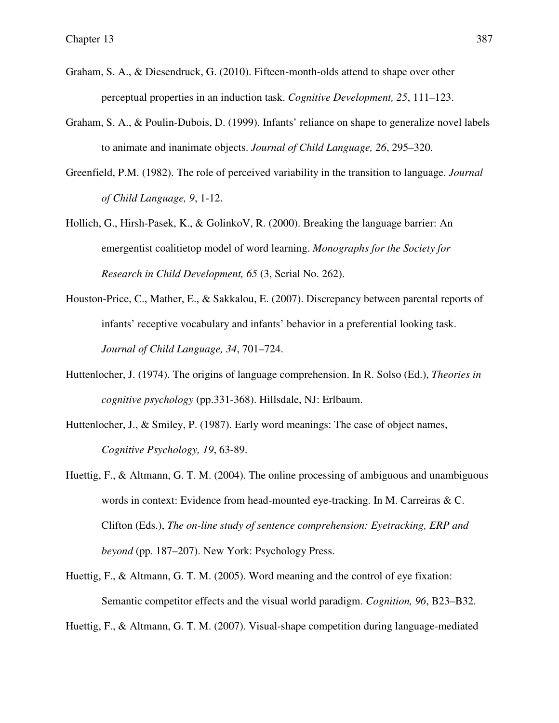- Graham, S. A., & Diesendruck, G. (2010). Fifteen-month-olds attend to shape over other perceptual properties in an induction task. *Cognitive Development, 25*, 111–123.
- Graham, S. A., & Poulin-Dubois, D. (1999). Infants' reliance on shape to generalize novel labels to animate and inanimate objects. *Journal of Child Language, 26*, 295–320.
- Greenfield, P.M. (1982). The role of perceived variability in the transition to language. *Journal of Child Language, 9*, 1-12.
- Hollich, G., Hirsh-Pasek, K., & GolinkoV, R. (2000). Breaking the language barrier: An emergentist coalitietop model of word learning. *Monographs for the Society for Research in Child Development, 65* (3, Serial No. 262).
- Houston-Price, C., Mather, E., & Sakkalou, E. (2007). Discrepancy between parental reports of infants' receptive vocabulary and infants' behavior in a preferential looking task. *Journal of Child Language, 34*, 701–724.
- Huttenlocher, J. (1974). The origins of language comprehension. In R. Solso (Ed.), *Theories in cognitive psychology* (pp.331-368). Hillsdale, NJ: Erlbaum.
- Huttenlocher, J., & Smiley, P. (1987). Early word meanings: The case of object names, *Cognitive Psychology, 19*, 63-89.
- Huettig, F., & Altmann, G. T. M. (2004). The online processing of ambiguous and unambiguous words in context: Evidence from head-mounted eye-tracking. In M. Carreiras & C. Clifton (Eds.), *The on-line study of sentence comprehension: Eyetracking, ERP and beyond* (pp. 187–207). New York: Psychology Press.
- Huettig, F., & Altmann, G. T. M. (2005). Word meaning and the control of eye fixation: Semantic competitor effects and the visual world paradigm. *Cognition, 96*, B23–B32.
- Huettig, F., & Altmann, G. T. M. (2007). Visual-shape competition during language-mediated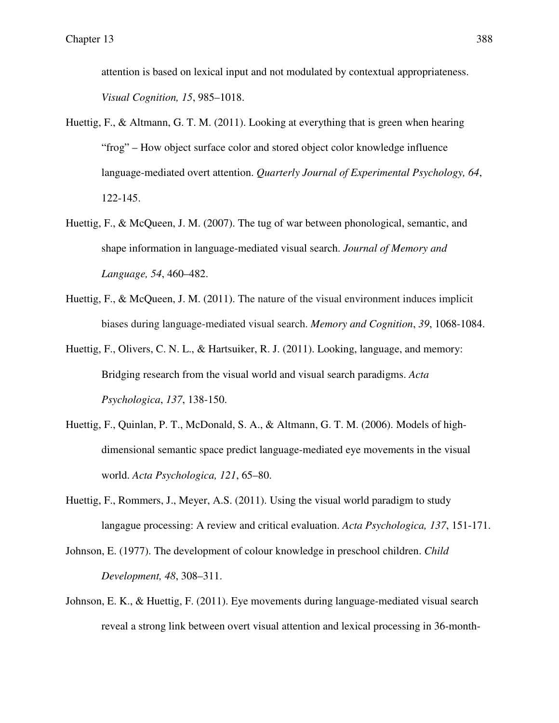attention is based on lexical input and not modulated by contextual appropriateness. *Visual Cognition, 15*, 985–1018.

- Huettig, F., & Altmann, G. T. M. (2011). Looking at everything that is green when hearing "frog" – How object surface color and stored object color knowledge influence language-mediated overt attention. *Quarterly Journal of Experimental Psychology, 64*, 122-145.
- Huettig, F., & McQueen, J. M. (2007). The tug of war between phonological, semantic, and shape information in language-mediated visual search. *Journal of Memory and Language, 54*, 460–482.
- Huettig, F., & McQueen, J. M. (2011). The nature of the visual environment induces implicit biases during language-mediated visual search. *Memory and Cognition*, *39*, 1068-1084.
- Huettig, F., Olivers, C. N. L., & Hartsuiker, R. J. (2011). Looking, language, and memory: Bridging research from the visual world and visual search paradigms. *Acta Psychologica*, *137*, 138-150.
- Huettig, F., Quinlan, P. T., McDonald, S. A., & Altmann, G. T. M. (2006). Models of highdimensional semantic space predict language-mediated eye movements in the visual world. *Acta Psychologica, 121*, 65–80.
- Huettig, F., Rommers, J., Meyer, A.S. (2011). Using the visual world paradigm to study langague processing: A review and critical evaluation. *Acta Psychologica, 137*, 151-171.
- Johnson, E. (1977). The development of colour knowledge in preschool children. *Child Development, 48*, 308–311.
- Johnson, E. K., & Huettig, F. (2011). Eye movements during language-mediated visual search reveal a strong link between overt visual attention and lexical processing in 36-month-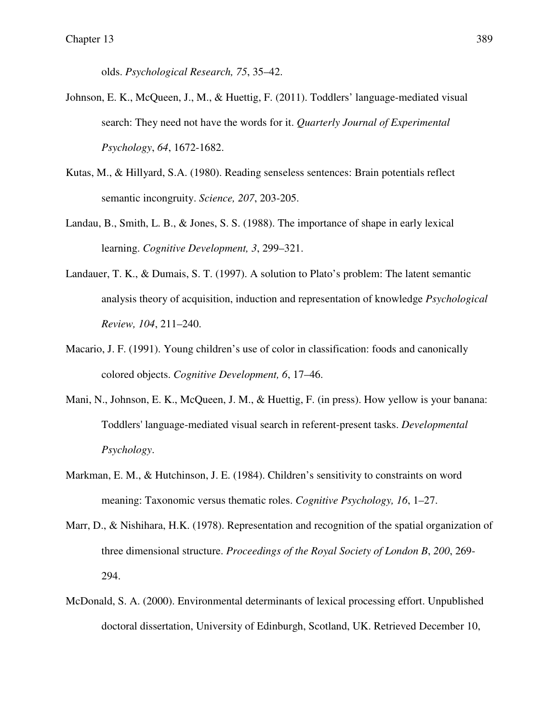olds. *Psychological Research, 75*, 35–42.

- Johnson, E. K., McQueen, J., M., & Huettig, F. (2011). Toddlers' language-mediated visual search: They need not have the words for it. *Quarterly Journal of Experimental Psychology*, *64*, 1672-1682.
- Kutas, M., & Hillyard, S.A. (1980). Reading senseless sentences: Brain potentials reflect semantic incongruity. *Science, 207*, 203-205.
- Landau, B., Smith, L. B., & Jones, S. S. (1988). The importance of shape in early lexical learning. *Cognitive Development, 3*, 299–321.
- Landauer, T. K., & Dumais, S. T. (1997). A solution to Plato's problem: The latent semantic analysis theory of acquisition, induction and representation of knowledge *Psychological Review, 104*, 211–240.
- Macario, J. F. (1991). Young children's use of color in classification: foods and canonically colored objects. *Cognitive Development, 6*, 17–46.
- Mani, N., Johnson, E. K., McQueen, J. M., & Huettig, F. (in press). How yellow is your banana: Toddlers' language-mediated visual search in referent-present tasks. *Developmental Psychology*.
- Markman, E. M., & Hutchinson, J. E. (1984). Children's sensitivity to constraints on word meaning: Taxonomic versus thematic roles. *Cognitive Psychology, 16*, 1–27.
- Marr, D., & Nishihara, H.K. (1978). Representation and recognition of the spatial organization of three dimensional structure. *Proceedings of the Royal Society of London B*, *200*, 269- 294.
- McDonald, S. A. (2000). Environmental determinants of lexical processing effort. Unpublished doctoral dissertation, University of Edinburgh, Scotland, UK. Retrieved December 10,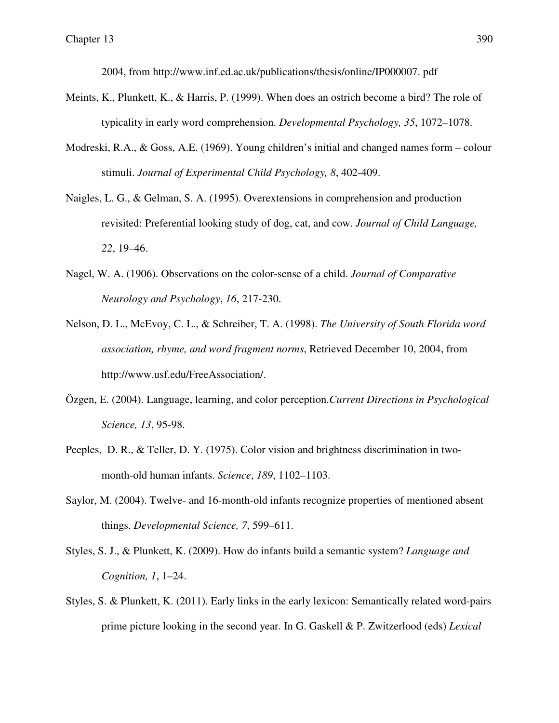2004, from http://www.inf.ed.ac.uk/publications/thesis/online/IP000007. pdf

- Meints, K., Plunkett, K., & Harris, P. (1999). When does an ostrich become a bird? The role of typicality in early word comprehension. *Developmental Psychology, 35*, 1072–1078.
- Modreski, R.A., & Goss, A.E. (1969). Young children's initial and changed names form colour stimuli. *Journal of Experimental Child Psychology, 8*, 402-409.
- Naigles, L. G., & Gelman, S. A. (1995). Overextensions in comprehension and production revisited: Preferential looking study of dog, cat, and cow. *Journal of Child Language, 22*, 19–46.
- Nagel, W. A. (1906). Observations on the color-sense of a child. *Journal of Comparative Neurology and Psychology*, *16*, 217-230.
- Nelson, D. L., McEvoy, C. L., & Schreiber, T. A. (1998). *The University of South Florida word association, rhyme, and word fragment norms*, Retrieved December 10, 2004, from http://www.usf.edu/FreeAssociation/.
- Özgen, E. (2004). Language, learning, and color perception.*Current Directions in Psychological Science, 13*, 95-98.
- Peeples, D. R., & Teller, D. Y. (1975). Color vision and brightness discrimination in twomonth-old human infants. *Science*, *189*, 1102–1103.
- Saylor, M. (2004). Twelve- and 16-month-old infants recognize properties of mentioned absent things. *Developmental Science, 7*, 599–611.
- Styles, S. J., & Plunkett, K. (2009). How do infants build a semantic system? *Language and Cognition, 1*, 1–24.
- Styles, S. & Plunkett, K. (2011). Early links in the early lexicon: Semantically related word-pairs prime picture looking in the second year. In G. Gaskell & P. Zwitzerlood (eds) *Lexical*